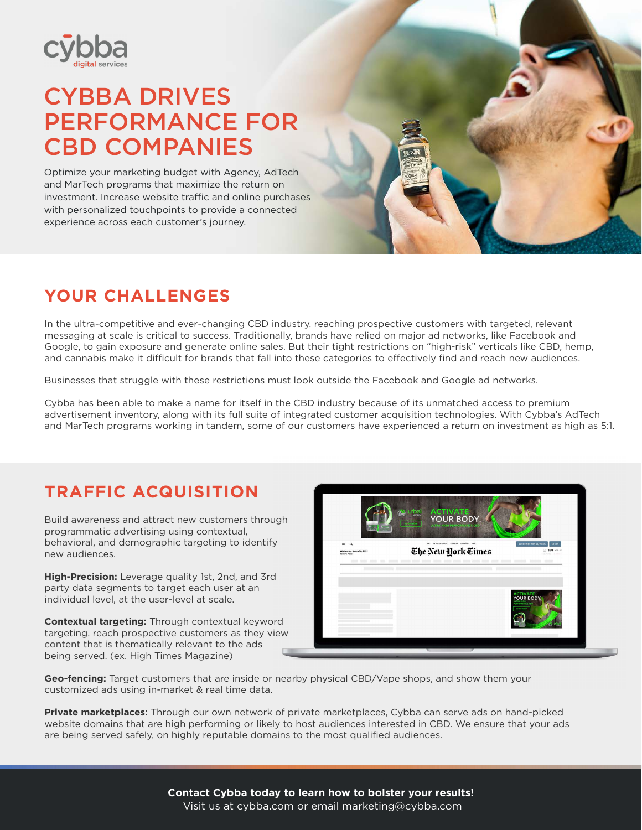

# CYBBA DRIVES PERFORMANCE FOR CBD COMPANIES

Optimize your marketing budget with Agency, AdTech and MarTech programs that maximize the return on investment. Increase website traffic and online purchases with personalized touchpoints to provide a connected experience across each customer's journey.

## **YOUR CHALLENGES**

In the ultra-competitive and ever-changing CBD industry, reaching prospective customers with targeted, relevant messaging at scale is critical to success. Traditionally, brands have relied on major ad networks, like Facebook and Google, to gain exposure and generate online sales. But their tight restrictions on "high-risk" verticals like CBD, hemp, and cannabis make it difficult for brands that fall into these categories to effectively find and reach new audiences.

Businesses that struggle with these restrictions must look outside the Facebook and Google ad networks.

Cybba has been able to make a name for itself in the CBD industry because of its unmatched access to premium advertisement inventory, along with its full suite of integrated customer acquisition technologies. With Cybba's AdTech and MarTech programs working in tandem, some of our customers have experienced a return on investment as high as 5:1.

### **TRAFFIC ACQUISITION**

Build awareness and attract new customers through programmatic advertising using contextual, behavioral, and demographic targeting to identify new audiences.

**High-Precision:** Leverage quality 1st, 2nd, and 3rd party data segments to target each user at an individual level, at the user-level at scale.

**Contextual targeting:** Through contextual keyword targeting, reach prospective customers as they view content that is thematically relevant to the ads being served. (ex. High Times Magazine)



**Geo-fencing:** Target customers that are inside or nearby physical CBD/Vape shops, and show them your customized ads using in-market & real time data.

**Private marketplaces:** Through our own network of private marketplaces, Cybba can serve ads on hand-picked website domains that are high performing or likely to host audiences interested in CBD. We ensure that your ads are being served safely, on highly reputable domains to the most qualified audiences.